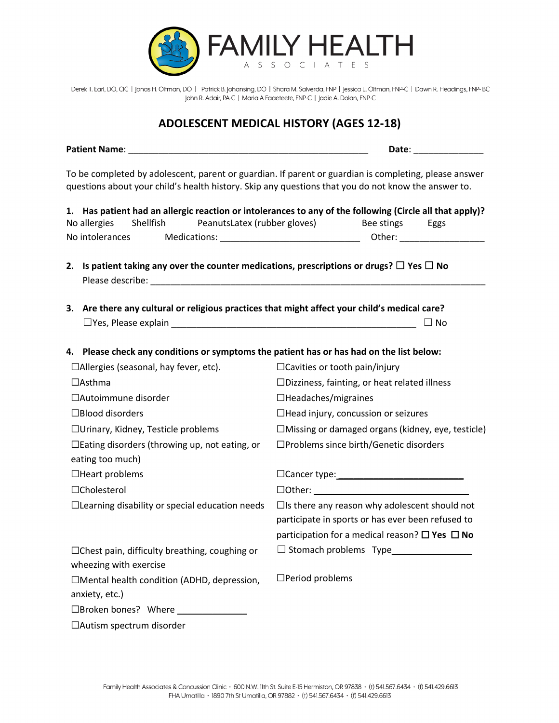

Derek T. Earl, DO, CIC | Jonas H. Oltman, DO | Patrick B. Johansing, DO | Shara M. Salverda, FNP | Jessica L. Oltman, FNP-C | Dawn R. Headings, FNP-BC John R. Adair, PA-C | Maria A Faaeteete, FNP-C | Jadie A. Dolan, FNP-C

### **ADOLESCENT MEDICAL HISTORY (AGES 12-18)**

|                                                                                                     | Date: <u>Date: Date: Date: Date: Distance</u>                                                            |  |  |
|-----------------------------------------------------------------------------------------------------|----------------------------------------------------------------------------------------------------------|--|--|
| questions about your child's health history. Skip any questions that you do not know the answer to. | To be completed by adolescent, parent or guardian. If parent or guardian is completing, please answer    |  |  |
|                                                                                                     | 1. Has patient had an allergic reaction or intolerances to any of the following (Circle all that apply)? |  |  |
| Shellfish<br>PeanutsLatex (rubber gloves)<br>No allergies                                           | Bee stings<br>Eggs                                                                                       |  |  |
| No intolerances                                                                                     |                                                                                                          |  |  |
| 2. Is patient taking any over the counter medications, prescriptions or drugs? $\Box$ Yes $\Box$ No |                                                                                                          |  |  |
| 3. Are there any cultural or religious practices that might affect your child's medical care?       |                                                                                                          |  |  |
|                                                                                                     | $\Box$ No                                                                                                |  |  |
|                                                                                                     |                                                                                                          |  |  |
| 4. Please check any conditions or symptoms the patient has or has had on the list below:            |                                                                                                          |  |  |
| □Allergies (seasonal, hay fever, etc).                                                              | $\Box$ Cavities or tooth pain/injury                                                                     |  |  |
| $\Box$ Asthma                                                                                       | $\square$ Dizziness, fainting, or heat related illness                                                   |  |  |
| $\Box$ Autoimmune disorder                                                                          | $\Box$ Headaches/migraines                                                                               |  |  |
| $\Box$ Blood disorders                                                                              | $\Box$ Head injury, concussion or seizures                                                               |  |  |
| □ Urinary, Kidney, Testicle problems                                                                | $\Box$ Missing or damaged organs (kidney, eye, testicle)                                                 |  |  |
| □Eating disorders (throwing up, not eating, or                                                      | □Problems since birth/Genetic disorders                                                                  |  |  |
| eating too much)                                                                                    |                                                                                                          |  |  |
| $\Box$ Heart problems                                                                               | $\Box$ Cancer type: $\Box$                                                                               |  |  |
| □Cholesterol                                                                                        |                                                                                                          |  |  |
| $\Box$ Learning disability or special education needs                                               | □Is there any reason why adolescent should not                                                           |  |  |
|                                                                                                     | participate in sports or has ever been refused to                                                        |  |  |
|                                                                                                     | participation for a medical reason? $\square$ Yes $\square$ No                                           |  |  |
| $\Box$ Chest pain, difficulty breathing, coughing or                                                | $\Box$ Stomach problems Type                                                                             |  |  |
| wheezing with exercise                                                                              |                                                                                                          |  |  |
| □Mental health condition (ADHD, depression,                                                         | $\Box$ Period problems                                                                                   |  |  |
| anxiety, etc.)                                                                                      |                                                                                                          |  |  |
| $\Box$ Broken bones? Where                                                                          |                                                                                                          |  |  |
| □Autism spectrum disorder                                                                           |                                                                                                          |  |  |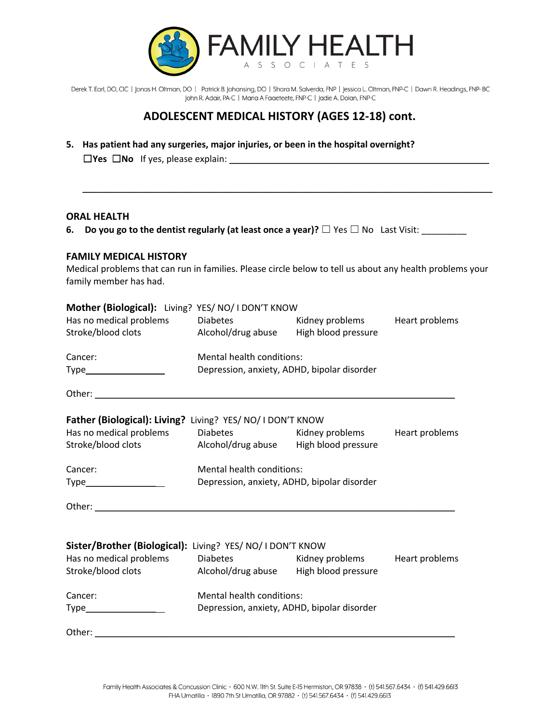

Derek T. Earl, DO, CIC | Jonas H. Oltman, DO | Patrick B. Johansing, DO | Shara M. Salverda, FNP | Jessica L. Oltman, FNP-C | Dawn R. Headings, FNP-BC John R. Adair, PA-C | Maria A Faaeteete, FNP-C | Jadie A. Dolan, FNP-C

## **ADOLESCENT MEDICAL HISTORY (AGES 12-18) cont.**

\_\_\_\_\_\_\_\_\_\_\_\_\_\_\_\_\_\_\_\_\_\_\_\_\_\_\_\_\_\_\_\_\_\_\_\_\_\_\_\_\_\_\_\_\_\_\_\_\_\_\_\_\_\_\_\_\_\_\_\_\_\_\_\_\_\_\_\_\_\_\_\_\_\_\_\_\_\_\_\_\_\_

**5. Has patient had any surgeries, major injuries, or been in the hospital overnight?** ☐**Yes** ☐**No** If yes, please explain: \_\_\_\_\_\_\_\_\_\_\_\_\_\_\_\_\_\_\_\_\_\_\_\_\_\_\_\_\_\_\_\_\_\_\_\_\_\_\_\_\_\_\_\_\_\_\_\_\_\_\_\_

#### **ORAL HEALTH**

**6. Do you go to the dentist regularly (at least once a year)?** ☐ Yes ☐ No Last Visit: \_\_\_\_\_\_\_\_\_

#### **FAMILY MEDICAL HISTORY**

Medical problems that can run in families. Please circle below to tell us about any health problems your family member has had.

| Mother (Biological): Living? YES/ NO/ I DON'T KNOW              |                                             |                                |  |  |
|-----------------------------------------------------------------|---------------------------------------------|--------------------------------|--|--|
| Has no medical problems                                         | <b>Diabetes</b>                             | Kidney problems Heart problems |  |  |
| Stroke/blood clots Alcohol/drug abuse                           |                                             | High blood pressure            |  |  |
| Cancer:                                                         | Mental health conditions:                   |                                |  |  |
| Type___________________                                         | Depression, anxiety, ADHD, bipolar disorder |                                |  |  |
|                                                                 |                                             |                                |  |  |
| Father (Biological): Living? Living? YES/ NO/ I DON'T KNOW      |                                             |                                |  |  |
| Has no medical problems Diabetes Midney problems Heart problems |                                             |                                |  |  |
| Stroke/blood clots Alcohol/drug abuse High blood pressure       |                                             |                                |  |  |
| Cancer:                                                         | Mental health conditions:                   |                                |  |  |
|                                                                 | Depression, anxiety, ADHD, bipolar disorder |                                |  |  |
|                                                                 |                                             |                                |  |  |
| Sister/Brother (Biological): Living? YES/ NO/ I DON'T KNOW      |                                             |                                |  |  |
| Has no medical problems Diabetes Midney problems Heart problems |                                             |                                |  |  |
| Stroke/blood clots Alcohol/drug abuse High blood pressure       |                                             |                                |  |  |
| Cancer:                                                         | Mental health conditions:                   |                                |  |  |
| Type_____________________                                       | Depression, anxiety, ADHD, bipolar disorder |                                |  |  |
| Other:                                                          |                                             |                                |  |  |